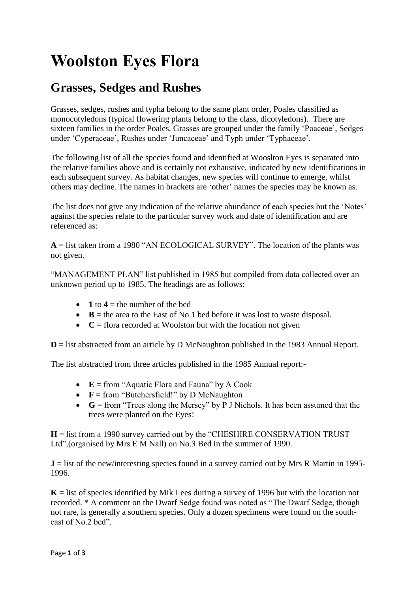# **Woolston Eyes Flora**

# **Grasses, Sedges and Rushes**

Grasses, sedges, rushes and typha belong to the same plant order, Poales classified as monocotyledons (typical flowering plants belong to the class, dicotyledons). There are sixteen families in the order Poales. Grasses are grouped under the family 'Poaceae', Sedges under 'Cyperaceae', Rushes under 'Juncaceae' and Typh under 'Typhaceae'.

The following list of all the species found and identified at Wooslton Eyes is separated into the relative families above and is certainly not exhaustive, indicated by new identifications in each subsequent survey. As habitat changes, new species will continue to emerge, whilst others may decline. The names in brackets are 'other' names the species may be known as.

The list does not give any indication of the relative abundance of each species but the 'Notes' against the species relate to the particular survey work and date of identification and are referenced as:

 $A =$  list taken from a 1980 "AN ECOLOGICAL SURVEY". The location of the plants was not given.

"MANAGEMENT PLAN" list published in 1985 but compiled from data collected over an unknown period up to 1985. The headings are as follows:

- $\bullet$  **1** to  $4 =$  the number of the bed
- $\bullet$  **B** = the area to the East of No.1 bed before it was lost to waste disposal.
- $\bullet$   $\mathbf{C}$  = flora recorded at Woolston but with the location not given

**D** = list abstracted from an article by D McNaughton published in the 1983 Annual Report.

The list abstracted from three articles published in the 1985 Annual report:-

- **E** = from "Aquatic Flora and Fauna" by A Cook
- $\bullet$  **F** = from "Butchersfield!" by D McNaughton
- **G** = from "Trees along the Mersey" by P J Nichols. It has been assumed that the trees were planted on the Eyes!

**H** = list from a 1990 survey carried out by the "CHESHIRE CONSERVATION TRUST Ltd",(organised by Mrs E M Nall) on No.3 Bed in the summer of 1990.

 $J =$  list of the new/interesting species found in a survey carried out by Mrs R Martin in 1995-1996.

 $K =$  list of species identified by Mik Lees during a survey of 1996 but with the location not recorded. \* A comment on the Dwarf Sedge found was noted as "The Dwarf Sedge, though not rare, is generally a southern species. Only a dozen specimens were found on the southeast of No.2 bed".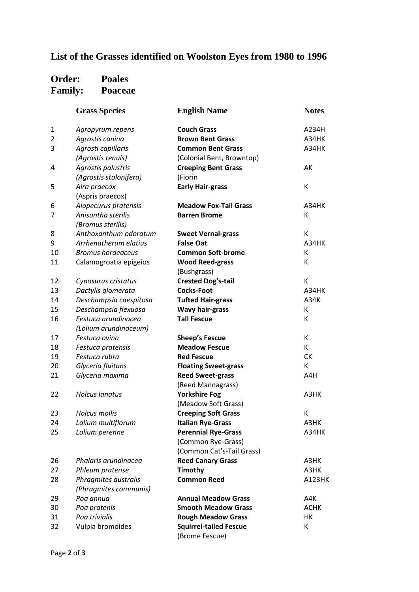## **List of the Grasses identified on Woolston Eyes from 1980 to 1996**

#### **Order: Poales Family: Poaceae**

|                | <b>Grass Species</b>     | <b>English Name</b>           | <b>Notes</b>  |
|----------------|--------------------------|-------------------------------|---------------|
| $\mathbf{1}$   | Agropyrum repens         | <b>Couch Grass</b>            | A234H         |
| $\overline{2}$ | Agrostis canina          | <b>Brown Bent Grass</b>       | A34HK         |
| 3              | Agrosti capillaris       | <b>Common Bent Grass</b>      | A34HK         |
|                | (Agrostis tenuis)        | (Colonial Bent, Browntop)     |               |
| 4              | Agrostis palustris       | <b>Creeping Bent Grass</b>    | AK            |
|                | (Agrostis stolonifera)   | (Fiorin                       |               |
| 5              | Aira praecox             | <b>Early Hair-grass</b>       | К             |
|                | (Aspris praecox)         |                               |               |
| 6              | Alopecurus pratensis     | <b>Meadow Fox-Tail Grass</b>  | A34HK         |
| 7              | Anisantha sterilis       | <b>Barren Brome</b>           | К             |
|                | (Bromus sterilis)        |                               |               |
| 8              | Anthoxanthum odoratum    | <b>Sweet Vernal-grass</b>     | К             |
| 9              | Arrhenatherum elatius    | <b>False Oat</b>              | A34HK         |
| 10             | <b>Bromus hordeaceus</b> | <b>Common Soft-brome</b>      | К             |
| 11             | Calamogroatia epigeios   | <b>Wood Reed-grass</b>        | К             |
|                |                          | (Bushgrass)                   |               |
| 12             | Cynosurus cristatus      | <b>Crested Dog's-tail</b>     | K             |
| 13             | Dactylis glomerata       | <b>Cocks-Foot</b>             | A34HK         |
| 14             | Deschampsia caespitosa   | <b>Tufted Hair-grass</b>      | A34K          |
| 15             | Deschampsia flexuosa     | <b>Wavy hair-grass</b>        | К             |
| 16             | Festuca arundinacea      | <b>Tall Fescue</b>            | К             |
|                | (Lolium arundinaceum)    |                               |               |
| 17             | Festuca ovina            | <b>Sheep's Fescue</b>         | К             |
| 18             | Festuca pratensis        | <b>Meadow Fescue</b>          | К             |
| 19             | Festuca rubra            | <b>Red Fescue</b>             | <b>CK</b>     |
| 20             | Glyceria fluitans        | <b>Floating Sweet-grass</b>   | К             |
| 21             | Glyceria maxima          | <b>Reed Sweet-grass</b>       | A4H           |
|                |                          | (Reed Mannagrass)             |               |
| 22             | <b>Holcus lanatus</b>    | <b>Yorkshire Fog</b>          | A3HK          |
|                |                          | (Meadow Soft Grass)           |               |
| 23             | <b>Holcus mollis</b>     | <b>Creeping Soft Grass</b>    | К             |
| 24             | Lolium multiflorum       | <b>Italian Rye-Grass</b>      | A3HK          |
| 25             | Lolium perenne           | <b>Perennial Rye-Grass</b>    | A34HK         |
|                |                          | (Common Rye-Grass)            |               |
|                |                          | (Common Cat's-Tail Grass)     |               |
| 26             | Phalaris arundinacea     | <b>Reed Canary Grass</b>      | A3HK          |
| 27             | Phleum pratense          | <b>Timothy</b>                | A3HK          |
| 28             | Phragmites australis     | <b>Common Reed</b>            | <b>A123HK</b> |
|                | (Phragmites communis)    |                               |               |
| 29             | Poa annua                | <b>Annual Meadow Grass</b>    | A4K           |
| 30             | Poa pratenis             | <b>Smooth Meadow Grass</b>    | <b>ACHK</b>   |
| 31             | Poa trivialis            | <b>Rough Meadow Grass</b>     | НK            |
| 32             | Vulpia bromoides         | <b>Squirrel-tailed Fescue</b> | К             |
|                |                          | (Brome Fescue)                |               |